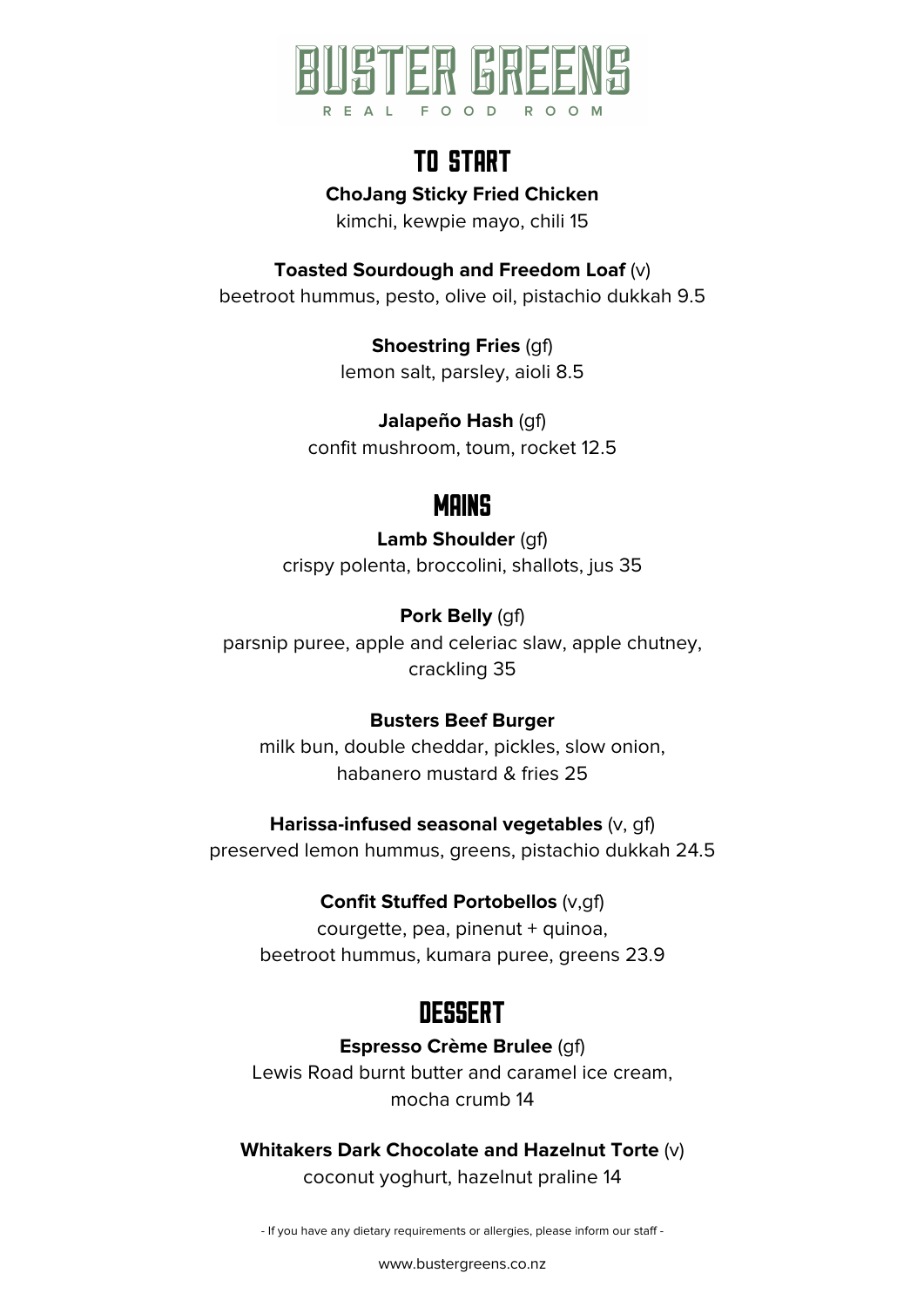

# TO START

**ChoJang Sticky Fried Chicken** 

kimchi, kewpie mayo, chili 15

**Toasted Sourdough and Freedom Loaf** (v) beetroot hummus, pesto, olive oil, pistachio dukkah 9.5

> **Shoestring Fries** (gf) lemon salt, parsley, aioli 8.5

**Jalapeño Hash** (gf) confit mushroom, toum, rocket 12.5

## **MAINS**

**Lamb Shoulder** (gf) crispy polenta, broccolini, shallots, jus 35

**Pork Belly** (gf) parsnip puree, apple and celeriac slaw, apple chutney, crackling 35

### **Busters Beef Burger**

milk bun, double cheddar, pickles, slow onion, habanero mustard & fries 25

### **Harissa-infused seasonal vegetables** (v, gf)

preserved lemon hummus, greens, pistachio dukkah 24.5

### **Confit Stuffed Portobellos** (v,gf)

courgette, pea, pinenut + quinoa, beetroot hummus, kumara puree, greens 23.9

# **DESSERT**

**Espresso Crème Brulee** (gf) Lewis Road burnt butter and caramel ice cream, mocha crumb 14

**Whitakers Dark Chocolate and Hazelnut Torte** (v) coconut yoghurt, hazelnut praline 14

- If you have any dietary requirements or allergies, please inform our staff -

www.bustergreens.co.nz